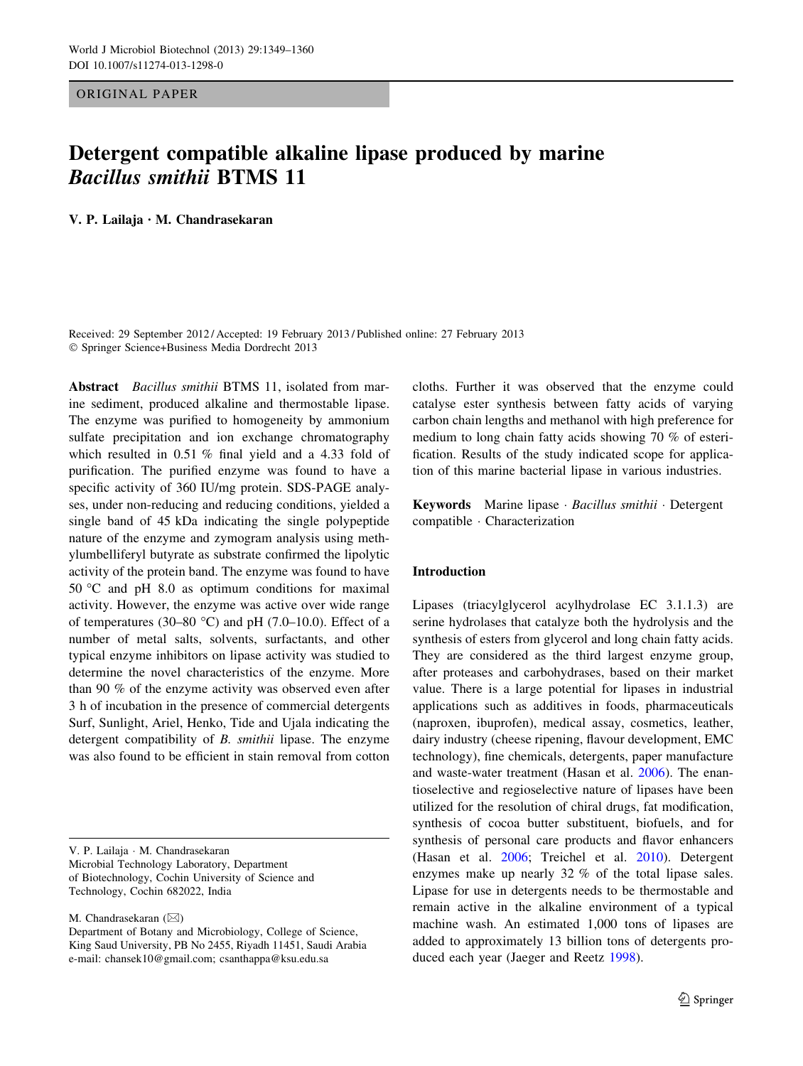ORIGINAL PAPER

# Detergent compatible alkaline lipase produced by marine Bacillus smithii BTMS 11

V. P. Lailaja • M. Chandrasekaran

Received: 29 September 2012 / Accepted: 19 February 2013 / Published online: 27 February 2013 - Springer Science+Business Media Dordrecht 2013

Abstract Bacillus smithii BTMS 11, isolated from marine sediment, produced alkaline and thermostable lipase. The enzyme was purified to homogeneity by ammonium sulfate precipitation and ion exchange chromatography which resulted in 0.51 % final yield and a 4.33 fold of purification. The purified enzyme was found to have a specific activity of 360 IU/mg protein. SDS-PAGE analyses, under non-reducing and reducing conditions, yielded a single band of 45 kDa indicating the single polypeptide nature of the enzyme and zymogram analysis using methylumbelliferyl butyrate as substrate confirmed the lipolytic activity of the protein band. The enzyme was found to have 50  $\degree$ C and pH 8.0 as optimum conditions for maximal activity. However, the enzyme was active over wide range of temperatures (30–80 °C) and pH (7.0–10.0). Effect of a number of metal salts, solvents, surfactants, and other typical enzyme inhibitors on lipase activity was studied to determine the novel characteristics of the enzyme. More than 90 % of the enzyme activity was observed even after 3 h of incubation in the presence of commercial detergents Surf, Sunlight, Ariel, Henko, Tide and Ujala indicating the detergent compatibility of *B. smithii* lipase. The enzyme was also found to be efficient in stain removal from cotton

V. P. Lailaja - M. Chandrasekaran Microbial Technology Laboratory, Department of Biotechnology, Cochin University of Science and Technology, Cochin 682022, India

M. Chandrasekaran ( $\boxtimes$ )

cloths. Further it was observed that the enzyme could catalyse ester synthesis between fatty acids of varying carbon chain lengths and methanol with high preference for medium to long chain fatty acids showing 70 % of esterification. Results of the study indicated scope for application of this marine bacterial lipase in various industries.

Keywords Marine lipase · Bacillus smithii · Detergent compatible - Characterization

## Introduction

Lipases (triacylglycerol acylhydrolase EC 3.1.1.3) are serine hydrolases that catalyze both the hydrolysis and the synthesis of esters from glycerol and long chain fatty acids. They are considered as the third largest enzyme group, after proteases and carbohydrases, based on their market value. There is a large potential for lipases in industrial applications such as additives in foods, pharmaceuticals (naproxen, ibuprofen), medical assay, cosmetics, leather, dairy industry (cheese ripening, flavour development, EMC technology), fine chemicals, detergents, paper manufacture and waste-water treatment (Hasan et al. [2006\)](#page-10-0). The enantioselective and regioselective nature of lipases have been utilized for the resolution of chiral drugs, fat modification, synthesis of cocoa butter substituent, biofuels, and for synthesis of personal care products and flavor enhancers (Hasan et al. [2006;](#page-10-0) Treichel et al. [2010](#page-11-0)). Detergent enzymes make up nearly 32 % of the total lipase sales. Lipase for use in detergents needs to be thermostable and remain active in the alkaline environment of a typical machine wash. An estimated 1,000 tons of lipases are added to approximately 13 billion tons of detergents produced each year (Jaeger and Reetz [1998\)](#page-10-0).

Department of Botany and Microbiology, College of Science, King Saud University, PB No 2455, Riyadh 11451, Saudi Arabia e-mail: chansek10@gmail.com; csanthappa@ksu.edu.sa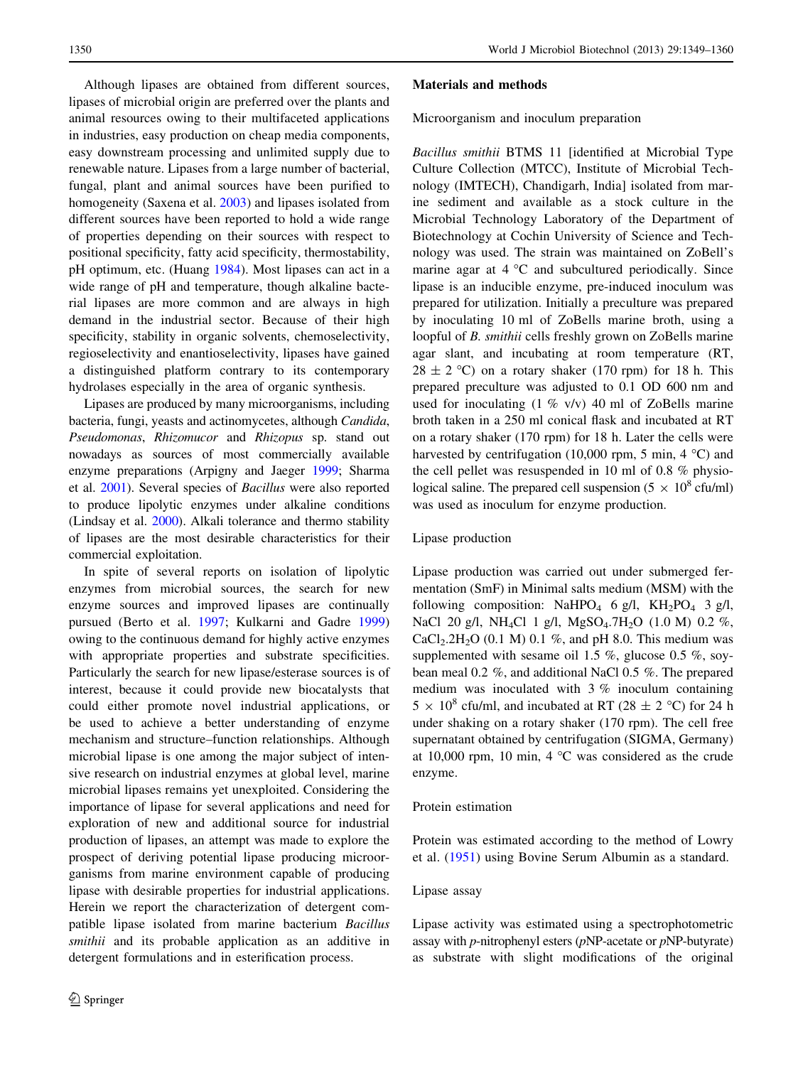Although lipases are obtained from different sources, lipases of microbial origin are preferred over the plants and animal resources owing to their multifaceted applications in industries, easy production on cheap media components, easy downstream processing and unlimited supply due to renewable nature. Lipases from a large number of bacterial, fungal, plant and animal sources have been purified to homogeneity (Saxena et al. [2003](#page-11-0)) and lipases isolated from different sources have been reported to hold a wide range of properties depending on their sources with respect to positional specificity, fatty acid specificity, thermostability, pH optimum, etc. (Huang [1984\)](#page-10-0). Most lipases can act in a wide range of pH and temperature, though alkaline bacterial lipases are more common and are always in high demand in the industrial sector. Because of their high specificity, stability in organic solvents, chemoselectivity, regioselectivity and enantioselectivity, lipases have gained a distinguished platform contrary to its contemporary hydrolases especially in the area of organic synthesis.

Lipases are produced by many microorganisms, including bacteria, fungi, yeasts and actinomycetes, although Candida, Pseudomonas, Rhizomucor and Rhizopus sp. stand out nowadays as sources of most commercially available enzyme preparations (Arpigny and Jaeger [1999](#page-10-0); Sharma et al. [2001](#page-11-0)). Several species of Bacillus were also reported to produce lipolytic enzymes under alkaline conditions (Lindsay et al. [2000](#page-11-0)). Alkali tolerance and thermo stability of lipases are the most desirable characteristics for their commercial exploitation.

In spite of several reports on isolation of lipolytic enzymes from microbial sources, the search for new enzyme sources and improved lipases are continually pursued (Berto et al. [1997;](#page-10-0) Kulkarni and Gadre [1999\)](#page-10-0) owing to the continuous demand for highly active enzymes with appropriate properties and substrate specificities. Particularly the search for new lipase/esterase sources is of interest, because it could provide new biocatalysts that could either promote novel industrial applications, or be used to achieve a better understanding of enzyme mechanism and structure–function relationships. Although microbial lipase is one among the major subject of intensive research on industrial enzymes at global level, marine microbial lipases remains yet unexploited. Considering the importance of lipase for several applications and need for exploration of new and additional source for industrial production of lipases, an attempt was made to explore the prospect of deriving potential lipase producing microorganisms from marine environment capable of producing lipase with desirable properties for industrial applications. Herein we report the characterization of detergent compatible lipase isolated from marine bacterium Bacillus smithii and its probable application as an additive in detergent formulations and in esterification process.

#### Materials and methods

Microorganism and inoculum preparation

Bacillus smithii BTMS 11 [identified at Microbial Type Culture Collection (MTCC), Institute of Microbial Technology (IMTECH), Chandigarh, India] isolated from marine sediment and available as a stock culture in the Microbial Technology Laboratory of the Department of Biotechnology at Cochin University of Science and Technology was used. The strain was maintained on ZoBell's marine agar at  $4 \degree C$  and subcultured periodically. Since lipase is an inducible enzyme, pre-induced inoculum was prepared for utilization. Initially a preculture was prepared by inoculating 10 ml of ZoBells marine broth, using a loopful of B. smithii cells freshly grown on ZoBells marine agar slant, and incubating at room temperature (RT,  $28 \pm 2$  °C) on a rotary shaker (170 rpm) for 18 h. This prepared preculture was adjusted to 0.1 OD 600 nm and used for inoculating  $(1 \% \text{ v/v})$  40 ml of ZoBells marine broth taken in a 250 ml conical flask and incubated at RT on a rotary shaker (170 rpm) for 18 h. Later the cells were harvested by centrifugation (10,000 rpm, 5 min, 4  $^{\circ}$ C) and the cell pellet was resuspended in 10 ml of 0.8 % physiological saline. The prepared cell suspension (5  $\times$  10<sup>8</sup> cfu/ml) was used as inoculum for enzyme production.

#### Lipase production

Lipase production was carried out under submerged fermentation (SmF) in Minimal salts medium (MSM) with the following composition: NaHPO<sub>4</sub> 6 g/l, KH<sub>2</sub>PO<sub>4</sub> 3 g/l, NaCl 20 g/l, NH<sub>4</sub>Cl 1 g/l, MgSO<sub>4</sub>.7H<sub>2</sub>O (1.0 M) 0.2 %, CaCl<sub>2</sub>.2H<sub>2</sub>O (0.1 M) 0.1 %, and pH 8.0. This medium was supplemented with sesame oil 1.5 %, glucose 0.5 %, soybean meal 0.2 %, and additional NaCl 0.5 %. The prepared medium was inoculated with 3 % inoculum containing  $5 \times 10^8$  cfu/ml, and incubated at RT (28  $\pm$  2 °C) for 24 h under shaking on a rotary shaker (170 rpm). The cell free supernatant obtained by centrifugation (SIGMA, Germany) at 10,000 rpm, 10 min, 4  $\degree$ C was considered as the crude enzyme.

## Protein estimation

Protein was estimated according to the method of Lowry et al. [\(1951](#page-11-0)) using Bovine Serum Albumin as a standard.

#### Lipase assay

Lipase activity was estimated using a spectrophotometric assay with  $p$ -nitrophenyl esters ( $pNP$ -acetate or  $pNP$ -butyrate) as substrate with slight modifications of the original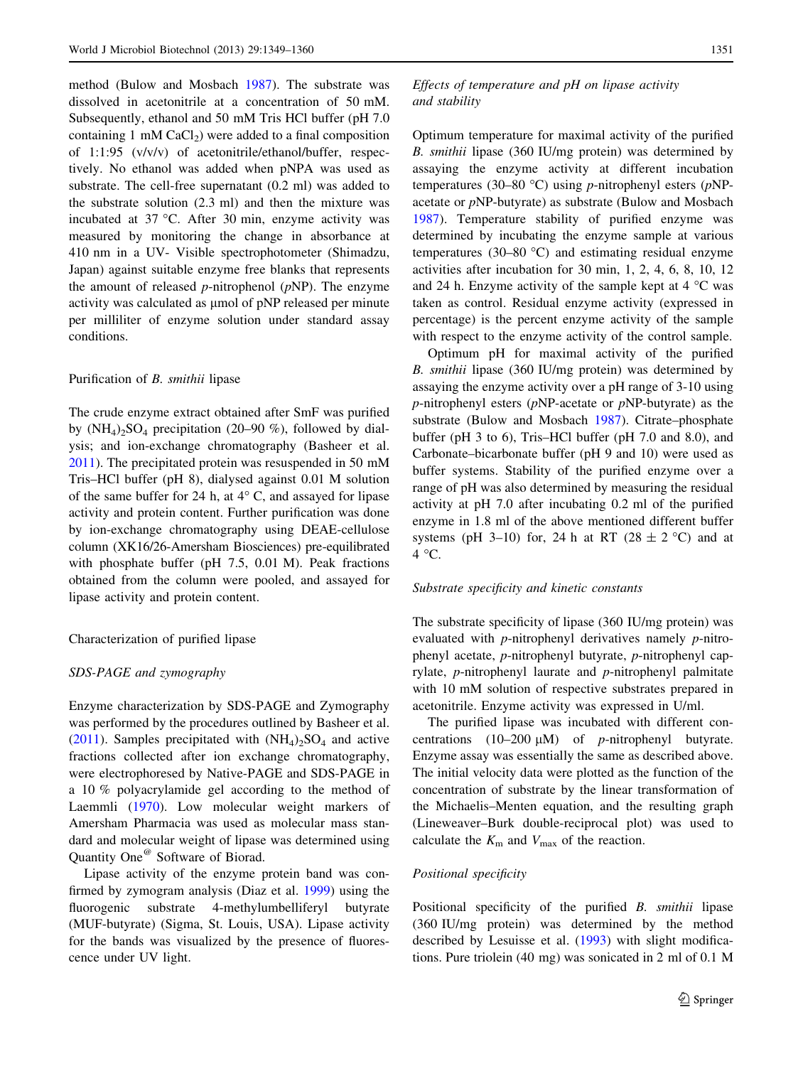method (Bulow and Mosbach [1987\)](#page-10-0). The substrate was dissolved in acetonitrile at a concentration of 50 mM. Subsequently, ethanol and 50 mM Tris HCl buffer (pH 7.0 containing 1 mM  $CaCl<sub>2</sub>$ ) were added to a final composition of 1:1:95 (v/v/v) of acetonitrile/ethanol/buffer, respectively. No ethanol was added when pNPA was used as substrate. The cell-free supernatant (0.2 ml) was added to the substrate solution (2.3 ml) and then the mixture was incubated at  $37^{\circ}$ C. After 30 min, enzyme activity was measured by monitoring the change in absorbance at 410 nm in a UV- Visible spectrophotometer (Shimadzu, Japan) against suitable enzyme free blanks that represents the amount of released  $p$ -nitrophenol ( $pNP$ ). The enzyme activity was calculated as µmol of pNP released per minute per milliliter of enzyme solution under standard assay conditions.

#### Purification of B. smithii lipase

The crude enzyme extract obtained after SmF was purified by  $(NH_4)$ <sub>2</sub>SO<sub>4</sub> precipitation (20–90 %), followed by dialysis; and ion-exchange chromatography (Basheer et al. [2011\)](#page-10-0). The precipitated protein was resuspended in 50 mM Tris–HCl buffer (pH 8), dialysed against 0.01 M solution of the same buffer for 24 h, at  $4^{\circ}$  C, and assayed for lipase activity and protein content. Further purification was done by ion-exchange chromatography using DEAE-cellulose column (XK16/26-Amersham Biosciences) pre-equilibrated with phosphate buffer (pH 7.5, 0.01 M). Peak fractions obtained from the column were pooled, and assayed for lipase activity and protein content.

Characterization of purified lipase

#### SDS-PAGE and zymography

Enzyme characterization by SDS-PAGE and Zymography was performed by the procedures outlined by Basheer et al. [\(2011](#page-10-0)). Samples precipitated with  $(NH<sub>4</sub>)<sub>2</sub>SO<sub>4</sub>$  and active fractions collected after ion exchange chromatography, were electrophoresed by Native-PAGE and SDS-PAGE in a 10 % polyacrylamide gel according to the method of Laemmli [\(1970](#page-11-0)). Low molecular weight markers of Amersham Pharmacia was used as molecular mass standard and molecular weight of lipase was determined using Quantity One@ Software of Biorad.

Lipase activity of the enzyme protein band was confirmed by zymogram analysis (Diaz et al. [1999](#page-10-0)) using the fluorogenic substrate 4-methylumbelliferyl butyrate (MUF-butyrate) (Sigma, St. Louis, USA). Lipase activity for the bands was visualized by the presence of fluorescence under UV light.

## Effects of temperature and pH on lipase activity and stability

Optimum temperature for maximal activity of the purified B. smithii lipase (360 IU/mg protein) was determined by assaying the enzyme activity at different incubation temperatures (30–80 °C) using *p*-nitrophenyl esters ( $pNP$ acetate or pNP-butyrate) as substrate (Bulow and Mosbach [1987](#page-10-0)). Temperature stability of purified enzyme was determined by incubating the enzyme sample at various temperatures (30–80  $^{\circ}$ C) and estimating residual enzyme activities after incubation for 30 min, 1, 2, 4, 6, 8, 10, 12 and 24 h. Enzyme activity of the sample kept at  $4^{\circ}$ C was taken as control. Residual enzyme activity (expressed in percentage) is the percent enzyme activity of the sample with respect to the enzyme activity of the control sample.

Optimum pH for maximal activity of the purified B. smithii lipase (360 IU/mg protein) was determined by assaying the enzyme activity over a pH range of 3-10 using  $p$ -nitrophenyl esters ( $p$ NP-acetate or  $p$ NP-butyrate) as the substrate (Bulow and Mosbach [1987\)](#page-10-0). Citrate–phosphate buffer (pH 3 to 6), Tris–HCl buffer (pH 7.0 and 8.0), and Carbonate–bicarbonate buffer (pH 9 and 10) were used as buffer systems. Stability of the purified enzyme over a range of pH was also determined by measuring the residual activity at pH 7.0 after incubating 0.2 ml of the purified enzyme in 1.8 ml of the above mentioned different buffer systems (pH 3–10) for, 24 h at RT (28  $\pm$  2 °C) and at  $4^{\circ}$ C.

## Substrate specificity and kinetic constants

The substrate specificity of lipase (360 IU/mg protein) was evaluated with p-nitrophenyl derivatives namely p-nitrophenyl acetate, p-nitrophenyl butyrate, p-nitrophenyl caprylate, p-nitrophenyl laurate and p-nitrophenyl palmitate with 10 mM solution of respective substrates prepared in acetonitrile. Enzyme activity was expressed in U/ml.

The purified lipase was incubated with different concentrations (10–200  $\mu$ M) of *p*-nitrophenyl butyrate. Enzyme assay was essentially the same as described above. The initial velocity data were plotted as the function of the concentration of substrate by the linear transformation of the Michaelis–Menten equation, and the resulting graph (Lineweaver–Burk double-reciprocal plot) was used to calculate the  $K_{\rm m}$  and  $V_{\rm max}$  of the reaction.

## Positional specificity

Positional specificity of the purified B. smithii lipase (360 IU/mg protein) was determined by the method described by Lesuisse et al. [\(1993](#page-11-0)) with slight modifications. Pure triolein (40 mg) was sonicated in 2 ml of 0.1 M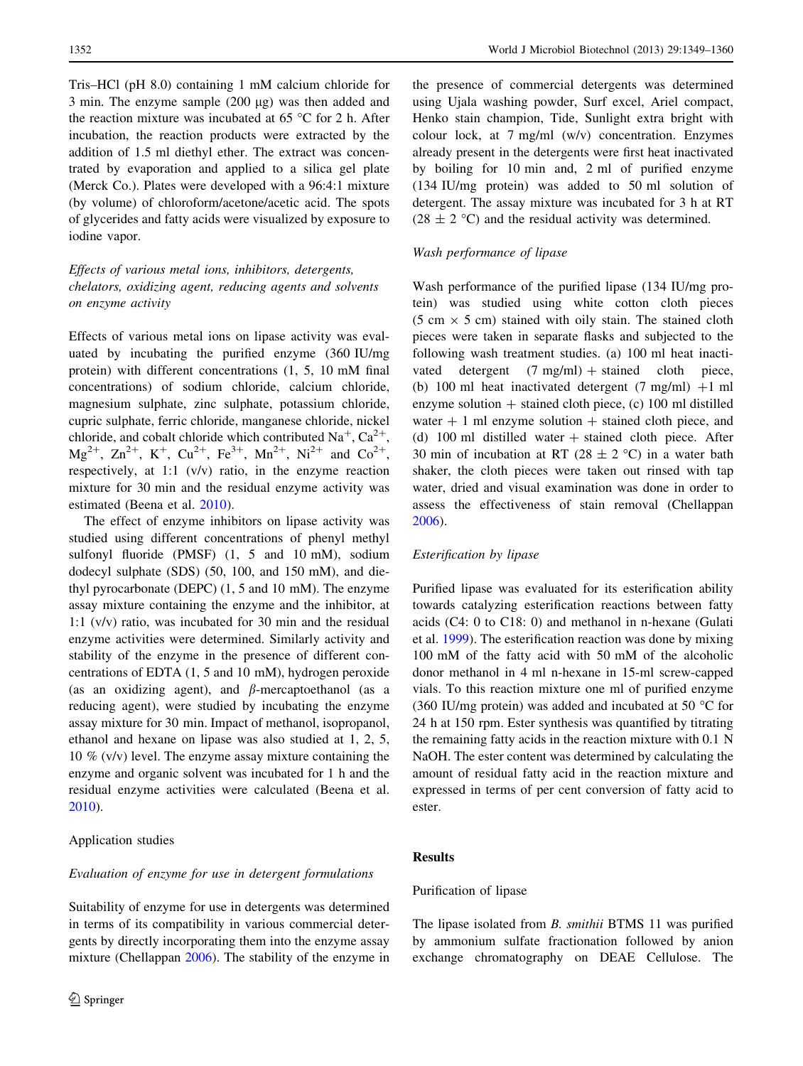Tris–HCl (pH 8.0) containing 1 mM calcium chloride for  $3$  min. The enzyme sample  $(200 \mu g)$  was then added and the reaction mixture was incubated at 65  $\degree$ C for 2 h. After incubation, the reaction products were extracted by the addition of 1.5 ml diethyl ether. The extract was concentrated by evaporation and applied to a silica gel plate (Merck Co.). Plates were developed with a 96:4:1 mixture (by volume) of chloroform/acetone/acetic acid. The spots of glycerides and fatty acids were visualized by exposure to iodine vapor.

# Effects of various metal ions, inhibitors, detergents, chelators, oxidizing agent, reducing agents and solvents on enzyme activity

Effects of various metal ions on lipase activity was evaluated by incubating the purified enzyme (360 IU/mg protein) with different concentrations (1, 5, 10 mM final concentrations) of sodium chloride, calcium chloride, magnesium sulphate, zinc sulphate, potassium chloride, cupric sulphate, ferric chloride, manganese chloride, nickel chloride, and cobalt chloride which contributed  $Na^+$ ,  $Ca^{2+}$ ,  $Mg^{2+}$ ,  $Zn^{2+}$ ,  $K^+$ ,  $Cu^{2+}$ ,  $Fe^{3+}$ ,  $Mn^{2+}$ ,  $Ni^{2+}$  and  $Co^{2+}$ , respectively, at 1:1 (v/v) ratio, in the enzyme reaction mixture for 30 min and the residual enzyme activity was estimated (Beena et al. [2010](#page-10-0)).

The effect of enzyme inhibitors on lipase activity was studied using different concentrations of phenyl methyl sulfonyl fluoride (PMSF)  $(1, 5 \text{ and } 10 \text{ mM})$ , sodium dodecyl sulphate (SDS) (50, 100, and 150 mM), and diethyl pyrocarbonate (DEPC) (1, 5 and 10 mM). The enzyme assay mixture containing the enzyme and the inhibitor, at 1:1 (v/v) ratio, was incubated for 30 min and the residual enzyme activities were determined. Similarly activity and stability of the enzyme in the presence of different concentrations of EDTA (1, 5 and 10 mM), hydrogen peroxide (as an oxidizing agent), and  $\beta$ -mercaptoethanol (as a reducing agent), were studied by incubating the enzyme assay mixture for 30 min. Impact of methanol, isopropanol, ethanol and hexane on lipase was also studied at 1, 2, 5, 10 % (v/v) level. The enzyme assay mixture containing the enzyme and organic solvent was incubated for 1 h and the residual enzyme activities were calculated (Beena et al. [2010\)](#page-10-0).

## Application studies

## Evaluation of enzyme for use in detergent formulations

Suitability of enzyme for use in detergents was determined in terms of its compatibility in various commercial detergents by directly incorporating them into the enzyme assay mixture (Chellappan [2006](#page-10-0)). The stability of the enzyme in

the presence of commercial detergents was determined using Ujala washing powder, Surf excel, Ariel compact, Henko stain champion, Tide, Sunlight extra bright with colour lock, at 7 mg/ml (w/v) concentration. Enzymes already present in the detergents were first heat inactivated by boiling for 10 min and, 2 ml of purified enzyme (134 IU/mg protein) was added to 50 ml solution of detergent. The assay mixture was incubated for 3 h at RT  $(28 \pm 2 \degree C)$  and the residual activity was determined.

## Wash performance of lipase

Wash performance of the purified lipase (134 IU/mg protein) was studied using white cotton cloth pieces (5 cm  $\times$  5 cm) stained with oily stain. The stained cloth pieces were taken in separate flasks and subjected to the following wash treatment studies. (a) 100 ml heat inactivated detergent  $(7 \text{ mg/ml}) + \text{stained}$  cloth piece, (b) 100 ml heat inactivated detergent  $(7 \text{ mg/ml}) +1 \text{ ml}$ enzyme solution  $+$  stained cloth piece, (c) 100 ml distilled water  $+1$  ml enzyme solution  $+$  stained cloth piece, and (d)  $100$  ml distilled water  $+$  stained cloth piece. After 30 min of incubation at RT (28  $\pm$  2 °C) in a water bath shaker, the cloth pieces were taken out rinsed with tap water, dried and visual examination was done in order to assess the effectiveness of stain removal (Chellappan [2006](#page-10-0)).

#### Esterification by lipase

Purified lipase was evaluated for its esterification ability towards catalyzing esterification reactions between fatty acids (C4: 0 to C18: 0) and methanol in n-hexane (Gulati et al. [1999](#page-10-0)). The esterification reaction was done by mixing 100 mM of the fatty acid with 50 mM of the alcoholic donor methanol in 4 ml n-hexane in 15-ml screw-capped vials. To this reaction mixture one ml of purified enzyme (360 IU/mg protein) was added and incubated at 50  $^{\circ}$ C for 24 h at 150 rpm. Ester synthesis was quantified by titrating the remaining fatty acids in the reaction mixture with 0.1 N NaOH. The ester content was determined by calculating the amount of residual fatty acid in the reaction mixture and expressed in terms of per cent conversion of fatty acid to ester.

## Results

#### Purification of lipase

The lipase isolated from B. smithii BTMS 11 was purified by ammonium sulfate fractionation followed by anion exchange chromatography on DEAE Cellulose. The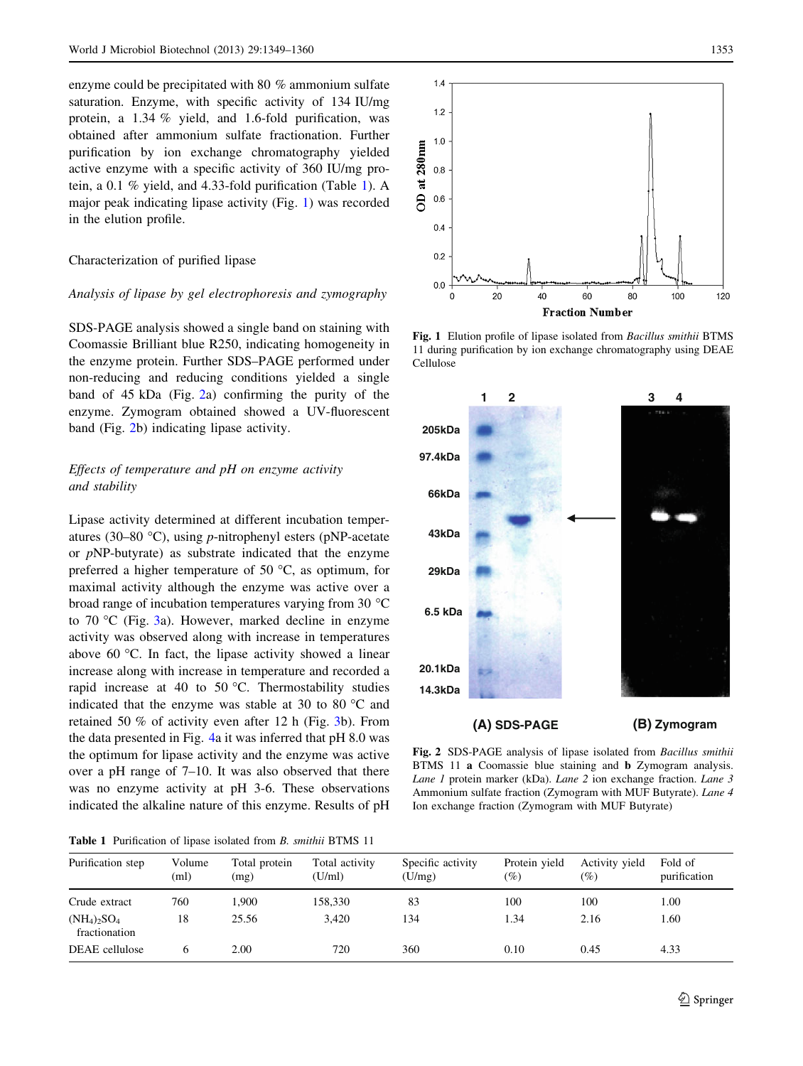enzyme could be precipitated with 80 % ammonium sulfate saturation. Enzyme, with specific activity of 134 IU/mg protein, a 1.34 % yield, and 1.6-fold purification, was obtained after ammonium sulfate fractionation. Further purification by ion exchange chromatography yielded active enzyme with a specific activity of 360 IU/mg protein, a 0.1 % yield, and 4.33-fold purification (Table 1). A major peak indicating lipase activity (Fig. 1) was recorded in the elution profile.

#### Characterization of purified lipase

#### Analysis of lipase by gel electrophoresis and zymography

SDS-PAGE analysis showed a single band on staining with Coomassie Brilliant blue R250, indicating homogeneity in the enzyme protein. Further SDS–PAGE performed under non-reducing and reducing conditions yielded a single band of 45 kDa (Fig. 2a) confirming the purity of the enzyme. Zymogram obtained showed a UV-fluorescent band (Fig. 2b) indicating lipase activity.

# Effects of temperature and pH on enzyme activity and stability

Lipase activity determined at different incubation temperatures (30–80 °C), using p-nitrophenyl esters (pNP-acetate or pNP-butyrate) as substrate indicated that the enzyme preferred a higher temperature of 50  $\degree$ C, as optimum, for maximal activity although the enzyme was active over a broad range of incubation temperatures varying from 30  $^{\circ}$ C to  $70 \degree$ C (Fig. [3](#page-5-0)a). However, marked decline in enzyme activity was observed along with increase in temperatures above 60  $\degree$ C. In fact, the lipase activity showed a linear increase along with increase in temperature and recorded a rapid increase at 40 to 50 °C. Thermostability studies indicated that the enzyme was stable at 30 to 80  $^{\circ}$ C and retained 50 % of activity even after 12 h (Fig. [3b](#page-5-0)). From the data presented in Fig. [4a](#page-5-0) it was inferred that pH 8.0 was the optimum for lipase activity and the enzyme was active over a pH range of 7–10. It was also observed that there was no enzyme activity at pH 3-6. These observations indicated the alkaline nature of this enzyme. Results of pH

Table 1 Purification of lipase isolated from B. smithii BTMS 11



Fig. 1 Elution profile of lipase isolated from Bacillus smithii BTMS 11 during purification by ion exchange chromatography using DEAE Cellulose



Fig. 2 SDS-PAGE analysis of lipase isolated from Bacillus smithii BTMS 11 a Coomassie blue staining and **b** Zymogram analysis. Lane 1 protein marker (kDa). Lane 2 ion exchange fraction. Lane 3 Ammonium sulfate fraction (Zymogram with MUF Butyrate). Lane 4 Ion exchange fraction (Zymogram with MUF Butyrate)

| Purification step                                      | Volume<br>(ml) | Total protein<br>(mg) | Total activity<br>(U/ml) | Specific activity<br>(U/mg) | Protein yield<br>$(\%)$ | Activity yield<br>$(\%)$ | Fold of<br>purification |
|--------------------------------------------------------|----------------|-----------------------|--------------------------|-----------------------------|-------------------------|--------------------------|-------------------------|
| Crude extract                                          | 760            | L.900                 | 158,330                  | 83                          | 100                     | 100                      | 1.00                    |
| $(NH_4)$ <sub>2</sub> SO <sub>4</sub><br>fractionation | 18             | 25.56                 | 3.420                    | 134                         | 1.34                    | 2.16                     | 1.60                    |
| DEAE cellulose                                         |                | 2.00                  | 720                      | 360                         | 0.10                    | 0.45                     | 4.33                    |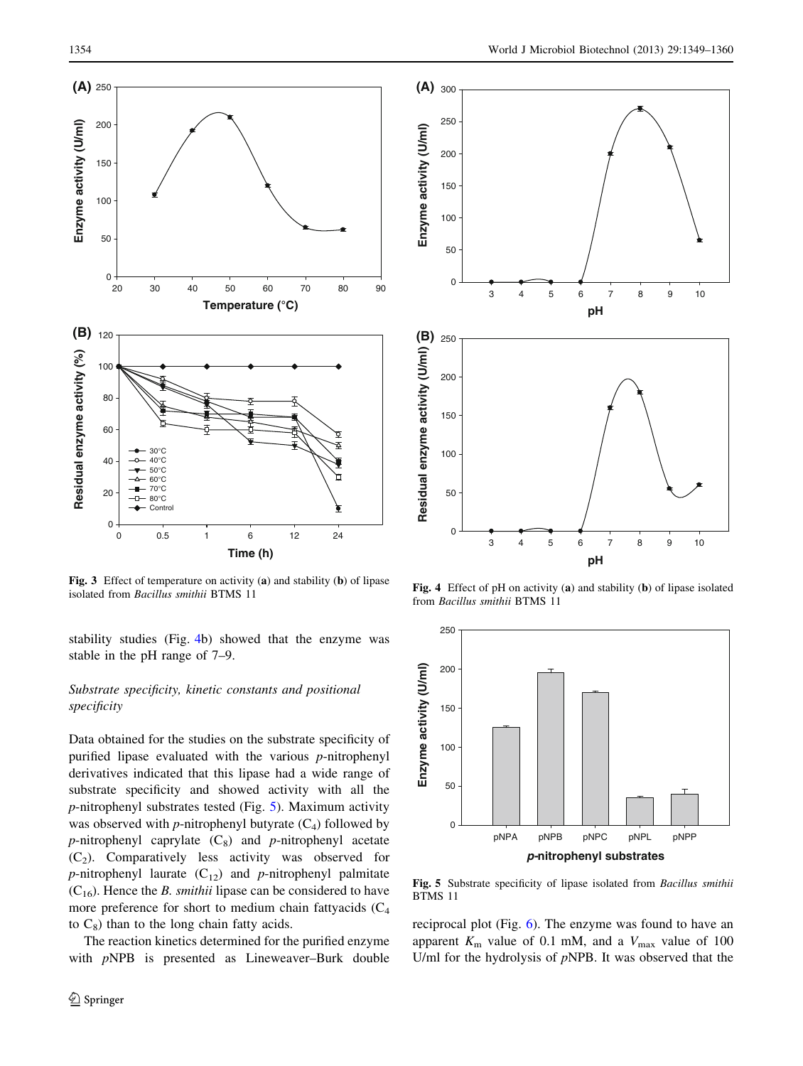<span id="page-5-0"></span>

Fig. 3 Effect of temperature on activity (a) and stability (b) of lipase isolated from Bacillus smithii BTMS 11

stability studies (Fig. 4b) showed that the enzyme was stable in the pH range of 7–9.

# Substrate specificity, kinetic constants and positional specificity

Data obtained for the studies on the substrate specificity of purified lipase evaluated with the various p-nitrophenyl derivatives indicated that this lipase had a wide range of substrate specificity and showed activity with all the p-nitrophenyl substrates tested (Fig. 5). Maximum activity was observed with  $p$ -nitrophenyl butyrate  $(C_4)$  followed by *p*-nitrophenyl caprylate  $(C_8)$  and *p*-nitrophenyl acetate  $(C_2)$ . Comparatively less activity was observed for *p*-nitrophenyl laurate  $(C_{12})$  and *p*-nitrophenyl palmitate  $(C_{16})$ . Hence the *B. smithii* lipase can be considered to have more preference for short to medium chain fattyacids  $(C_4)$ to  $C_8$ ) than to the long chain fatty acids.

The reaction kinetics determined for the purified enzyme with pNPB is presented as Lineweaver–Burk double



Fig. 4 Effect of pH on activity (a) and stability (b) of lipase isolated from Bacillus smithii BTMS 11



Fig. 5 Substrate specificity of lipase isolated from Bacillus smithii BTMS 11

reciprocal plot (Fig. [6](#page-6-0)). The enzyme was found to have an apparent  $K_{\text{m}}$  value of 0.1 mM, and a  $V_{\text{max}}$  value of 100 U/ml for the hydrolysis of pNPB. It was observed that the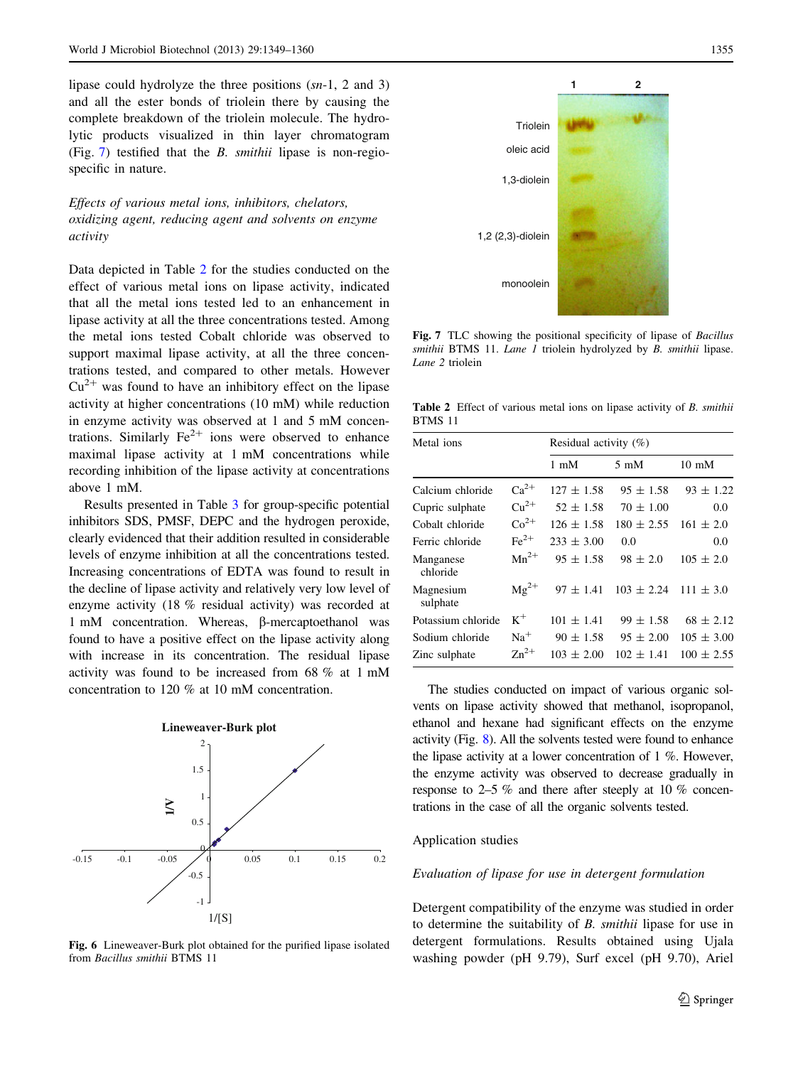<span id="page-6-0"></span>lipase could hydrolyze the three positions (sn-1, 2 and 3) and all the ester bonds of triolein there by causing the complete breakdown of the triolein molecule. The hydrolytic products visualized in thin layer chromatogram (Fig. 7) testified that the B. smithii lipase is non-regiospecific in nature.

## Effects of various metal ions, inhibitors, chelators, oxidizing agent, reducing agent and solvents on enzyme activity

Data depicted in Table 2 for the studies conducted on the effect of various metal ions on lipase activity, indicated that all the metal ions tested led to an enhancement in lipase activity at all the three concentrations tested. Among the metal ions tested Cobalt chloride was observed to support maximal lipase activity, at all the three concentrations tested, and compared to other metals. However  $Cu^{2+}$  was found to have an inhibitory effect on the lipase activity at higher concentrations (10 mM) while reduction in enzyme activity was observed at 1 and 5 mM concentrations. Similarly  $Fe^{2+}$  ions were observed to enhance maximal lipase activity at 1 mM concentrations while recording inhibition of the lipase activity at concentrations above 1 mM.

Results presented in Table [3](#page-7-0) for group-specific potential inhibitors SDS, PMSF, DEPC and the hydrogen peroxide, clearly evidenced that their addition resulted in considerable levels of enzyme inhibition at all the concentrations tested. Increasing concentrations of EDTA was found to result in the decline of lipase activity and relatively very low level of enzyme activity (18 % residual activity) was recorded at 1 mM concentration. Whereas,  $\beta$ -mercaptoethanol was found to have a positive effect on the lipase activity along with increase in its concentration. The residual lipase activity was found to be increased from 68 % at 1 mM concentration to 120 % at 10 mM concentration. The studies conducted on impact of various organic sol-



Fig. 6 Lineweaver-Burk plot obtained for the purified lipase isolated from Bacillus smithii BTMS 11



Fig. 7 TLC showing the positional specificity of lipase of Bacillus smithii BTMS 11. Lane 1 triolein hydrolyzed by B. smithii lipase. Lane 2 triolein

Table 2 Effect of various metal ions on lipase activity of B. smithii BTMS 11

| Metal ions            |               | Residual activity $(\%)$ |                |                 |  |
|-----------------------|---------------|--------------------------|----------------|-----------------|--|
|                       |               | $1 \text{ }\mathrm{mM}$  | $5 \text{ mM}$ | $10 \text{ mM}$ |  |
| Calcium chloride      | $Ca^{2+}$     | $127 \pm 1.58$           | $95 \pm 1.58$  | $93 \pm 1.22$   |  |
| Cupric sulphate       | $Cu^{2+}$     | $52 \pm 1.58$            | $70 \pm 1.00$  | 0.0             |  |
| Cobalt chloride       | $Co2+$        | $126 \pm 1.58$           | $180 \pm 2.55$ | $161 \pm 2.0$   |  |
| Ferric chloride       | $Fe2+$        | $233 \pm 3.00$           | 0.0            | 0.0             |  |
| Manganese<br>chloride | $Mn^{2+}$     | $95 \pm 1.58$            | $98 \pm 2.0$   | $105 \pm 2.0$   |  |
| Magnesium<br>sulphate | $Mg^{2+}$     | $97 \pm 1.41$            | $103 \pm 2.24$ | $111 \pm 3.0$   |  |
| Potassium chloride    | $K^+$         | $101 \pm 1.41$           | $99 \pm 1.58$  | $68 \pm 2.12$   |  |
| Sodium chloride       | $Na+$         | $90 \pm 1.58$            | $95 \pm 2.00$  | $105 \pm 3.00$  |  |
| Zinc sulphate         | $\rm Zn^{2+}$ | $103 \pm 2.00$           | $102 \pm 1.41$ | $100 \pm 2.55$  |  |

vents on lipase activity showed that methanol, isopropanol, ethanol and hexane had significant effects on the enzyme activity (Fig. [8\)](#page-7-0). All the solvents tested were found to enhance the lipase activity at a lower concentration of 1 %. However, the enzyme activity was observed to decrease gradually in response to 2–5 % and there after steeply at 10 % concentrations in the case of all the organic solvents tested.

#### Application studies

## Evaluation of lipase for use in detergent formulation

Detergent compatibility of the enzyme was studied in order to determine the suitability of B. smithii lipase for use in detergent formulations. Results obtained using Ujala washing powder (pH 9.79), Surf excel (pH 9.70), Ariel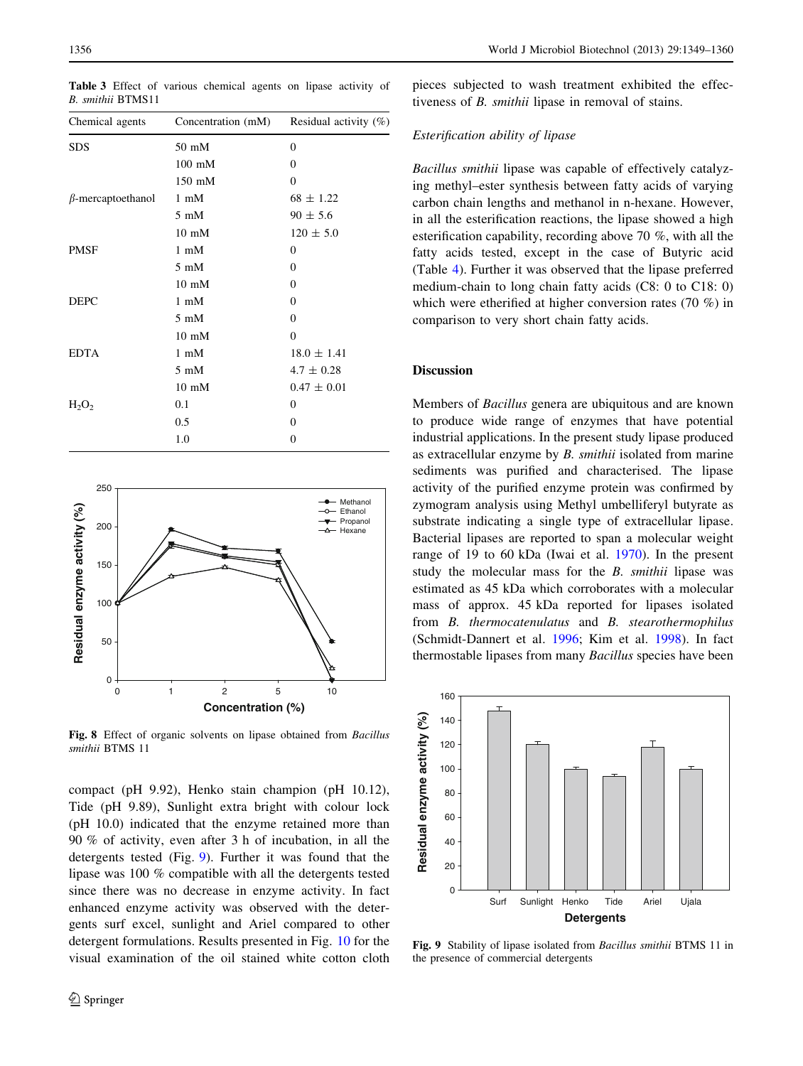| Chemical agents          | Concentration (mM) | Residual activity $(\%)$ |  |
|--------------------------|--------------------|--------------------------|--|
| <b>SDS</b>               | 50 mM              | $\mathbf{0}$             |  |
|                          | $100 \text{ mM}$   | $\mathbf{0}$             |  |
|                          | 150 mM             | $\mathbf{0}$             |  |
| $\beta$ -mercaptoethanol | $1 \text{ mM}$     | $68 \pm 1.22$            |  |
|                          | $5 \text{ mM}$     | $90 \pm 5.6$             |  |
|                          | $10 \text{ mM}$    | $120 \pm 5.0$            |  |
| <b>PMSF</b>              | $1 \text{ mM}$     | $\mathbf{0}$             |  |
|                          | $5 \text{ mM}$     | $\Omega$                 |  |
|                          | $10 \text{ mM}$    | $\mathbf{0}$             |  |
| <b>DEPC</b>              | $1 \text{ mM}$     | $\Omega$                 |  |
|                          | $5 \text{ mM}$     | $\mathbf{0}$             |  |
|                          | $10 \text{ mM}$    | $\mathbf{0}$             |  |
| <b>EDTA</b>              | $1 \text{ mM}$     | $18.0 \pm 1.41$          |  |
|                          | $5 \text{ mM}$     | $4.7 \pm 0.28$           |  |
|                          | $10 \text{ mM}$    | $0.47 \pm 0.01$          |  |
| $H_2O_2$                 | 0.1                | $\mathbf{0}$             |  |
|                          | 0.5                | $\Omega$                 |  |
|                          | 1.0                | $\boldsymbol{0}$         |  |

<span id="page-7-0"></span>Table 3 Effect of various chemical agents on lipase activity of B. smithii BTMS11



Fig. 8 Effect of organic solvents on lipase obtained from Bacillus smithii BTMS 11

compact (pH 9.92), Henko stain champion (pH 10.12), Tide (pH 9.89), Sunlight extra bright with colour lock (pH 10.0) indicated that the enzyme retained more than 90 % of activity, even after 3 h of incubation, in all the detergents tested (Fig. 9). Further it was found that the lipase was 100 % compatible with all the detergents tested since there was no decrease in enzyme activity. In fact enhanced enzyme activity was observed with the detergents surf excel, sunlight and Ariel compared to other detergent formulations. Results presented in Fig. [10](#page-8-0) for the visual examination of the oil stained white cotton cloth pieces subjected to wash treatment exhibited the effectiveness of B. smithii lipase in removal of stains.

#### Esterification ability of lipase

Bacillus smithii lipase was capable of effectively catalyzing methyl–ester synthesis between fatty acids of varying carbon chain lengths and methanol in n-hexane. However, in all the esterification reactions, the lipase showed a high esterification capability, recording above 70 %, with all the fatty acids tested, except in the case of Butyric acid (Table [4\)](#page-8-0). Further it was observed that the lipase preferred medium-chain to long chain fatty acids (C8: 0 to C18: 0) which were etherified at higher conversion rates (70 %) in comparison to very short chain fatty acids.

## Discussion

Members of Bacillus genera are ubiquitous and are known to produce wide range of enzymes that have potential industrial applications. In the present study lipase produced as extracellular enzyme by B. smithii isolated from marine sediments was purified and characterised. The lipase activity of the purified enzyme protein was confirmed by zymogram analysis using Methyl umbelliferyl butyrate as substrate indicating a single type of extracellular lipase. Bacterial lipases are reported to span a molecular weight range of 19 to 60 kDa (Iwai et al. [1970](#page-10-0)). In the present study the molecular mass for the B. smithii lipase was estimated as 45 kDa which corroborates with a molecular mass of approx. 45 kDa reported for lipases isolated from B. thermocatenulatus and B. stearothermophilus (Schmidt-Dannert et al. [1996](#page-11-0); Kim et al. [1998\)](#page-10-0). In fact thermostable lipases from many Bacillus species have been

![](_page_7_Figure_13.jpeg)

Fig. 9 Stability of lipase isolated from Bacillus smithii BTMS 11 in the presence of commercial detergents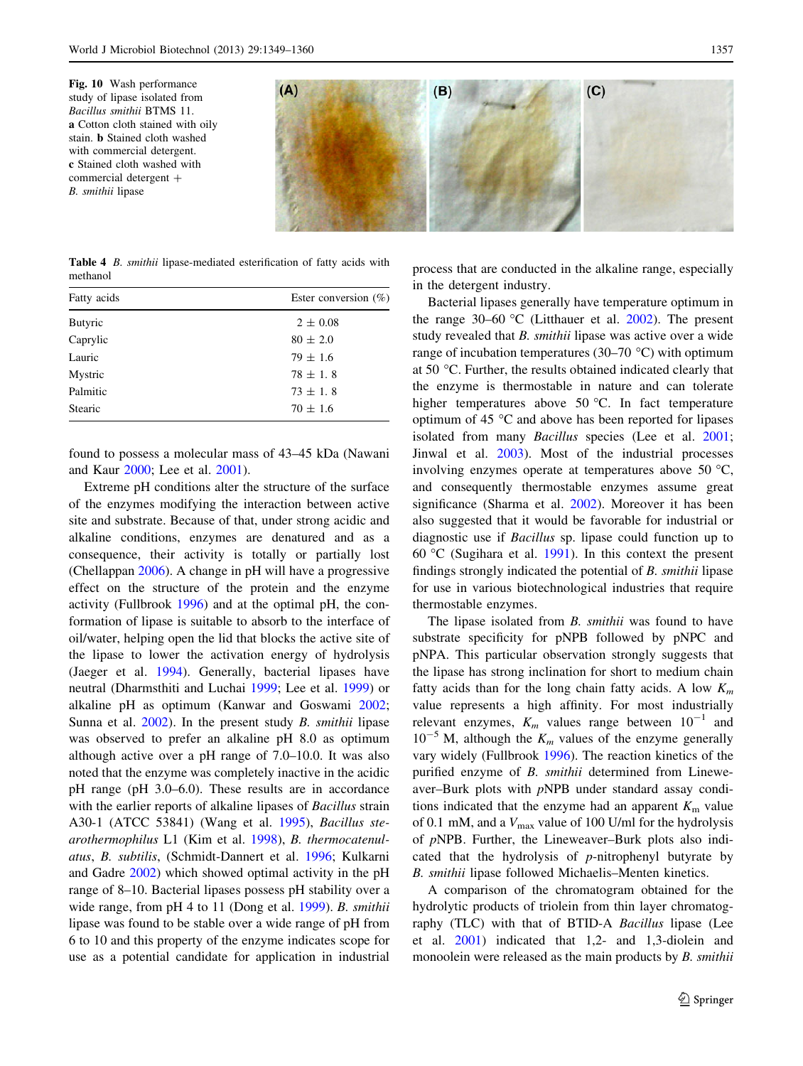Fig. 10 Wash performance study of lipase isolated from Bacillus smithii BTMS 11. a Cotton cloth stained with oily stain. b Stained cloth washed with commercial detergent. c Stained cloth washed with  $commercial$  detergent  $+$ B. smithii lipase

<span id="page-8-0"></span>![](_page_8_Picture_2.jpeg)

Table 4 B. smithii lipase-mediated esterification of fatty acids with methanol

| Fatty acids    | Ester conversion $(\%)$ |  |  |
|----------------|-------------------------|--|--|
| <b>Butyric</b> | $2 \pm 0.08$            |  |  |
| Caprylic       | $80 \pm 2.0$            |  |  |
| Lauric         | $79 \pm 1.6$            |  |  |
| Mystric        | $78 \pm 1.8$            |  |  |
| Palmitic       | $73 \pm 1.8$            |  |  |
| Stearic        | $70 \pm 1.6$            |  |  |

found to possess a molecular mass of 43–45 kDa (Nawani and Kaur [2000](#page-11-0); Lee et al. [2001](#page-11-0)).

Extreme pH conditions alter the structure of the surface of the enzymes modifying the interaction between active site and substrate. Because of that, under strong acidic and alkaline conditions, enzymes are denatured and as a consequence, their activity is totally or partially lost (Chellappan [2006\)](#page-10-0). A change in pH will have a progressive effect on the structure of the protein and the enzyme activity (Fullbrook [1996](#page-10-0)) and at the optimal pH, the conformation of lipase is suitable to absorb to the interface of oil/water, helping open the lid that blocks the active site of the lipase to lower the activation energy of hydrolysis (Jaeger et al. [1994\)](#page-10-0). Generally, bacterial lipases have neutral (Dharmsthiti and Luchai [1999;](#page-10-0) Lee et al. [1999](#page-11-0)) or alkaline pH as optimum (Kanwar and Goswami [2002](#page-10-0); Sunna et al.  $2002$ ). In the present study *B*. *smithii* lipase was observed to prefer an alkaline pH 8.0 as optimum although active over a pH range of 7.0–10.0. It was also noted that the enzyme was completely inactive in the acidic pH range (pH 3.0–6.0). These results are in accordance with the earlier reports of alkaline lipases of *Bacillus* strain A30-1 (ATCC 53841) (Wang et al. [1995\)](#page-11-0), Bacillus stearothermophilus L1 (Kim et al. [1998\)](#page-10-0), B. thermocatenulatus, B. subtilis, (Schmidt-Dannert et al. [1996](#page-11-0); Kulkarni and Gadre [2002](#page-11-0)) which showed optimal activity in the pH range of 8–10. Bacterial lipases possess pH stability over a wide range, from pH 4 to 11 (Dong et al. [1999\)](#page-10-0). B. smithii lipase was found to be stable over a wide range of pH from 6 to 10 and this property of the enzyme indicates scope for use as a potential candidate for application in industrial

process that are conducted in the alkaline range, especially in the detergent industry.

Bacterial lipases generally have temperature optimum in the range 30–60  $\degree$ C (Litthauer et al. [2002\)](#page-11-0). The present study revealed that B. smithii lipase was active over a wide range of incubation temperatures (30–70  $^{\circ}$ C) with optimum at 50 °C. Further, the results obtained indicated clearly that the enzyme is thermostable in nature and can tolerate higher temperatures above 50 °C. In fact temperature optimum of 45 $\degree$ C and above has been reported for lipases isolated from many Bacillus species (Lee et al. [2001](#page-11-0); Jinwal et al. [2003\)](#page-10-0). Most of the industrial processes involving enzymes operate at temperatures above 50  $^{\circ}$ C, and consequently thermostable enzymes assume great significance (Sharma et al. [2002](#page-11-0)). Moreover it has been also suggested that it would be favorable for industrial or diagnostic use if Bacillus sp. lipase could function up to 60 °C (Sugihara et al. [1991](#page-11-0)). In this context the present findings strongly indicated the potential of B. smithii lipase for use in various biotechnological industries that require thermostable enzymes.

The lipase isolated from *B. smithii* was found to have substrate specificity for pNPB followed by pNPC and pNPA. This particular observation strongly suggests that the lipase has strong inclination for short to medium chain fatty acids than for the long chain fatty acids. A low  $K_m$ value represents a high affinity. For most industrially relevant enzymes,  $K_m$  values range between  $10^{-1}$  and  $10^{-5}$  M, although the  $K_m$  values of the enzyme generally vary widely (Fullbrook [1996](#page-10-0)). The reaction kinetics of the purified enzyme of B. smithii determined from Lineweaver–Burk plots with pNPB under standard assay conditions indicated that the enzyme had an apparent  $K<sub>m</sub>$  value of 0.1 mM, and a  $V_{\text{max}}$  value of 100 U/ml for the hydrolysis of pNPB. Further, the Lineweaver–Burk plots also indicated that the hydrolysis of p-nitrophenyl butyrate by B. smithii lipase followed Michaelis–Menten kinetics.

A comparison of the chromatogram obtained for the hydrolytic products of triolein from thin layer chromatography (TLC) with that of BTID-A Bacillus lipase (Lee et al. [2001\)](#page-11-0) indicated that 1,2- and 1,3-diolein and monoolein were released as the main products by B. smithii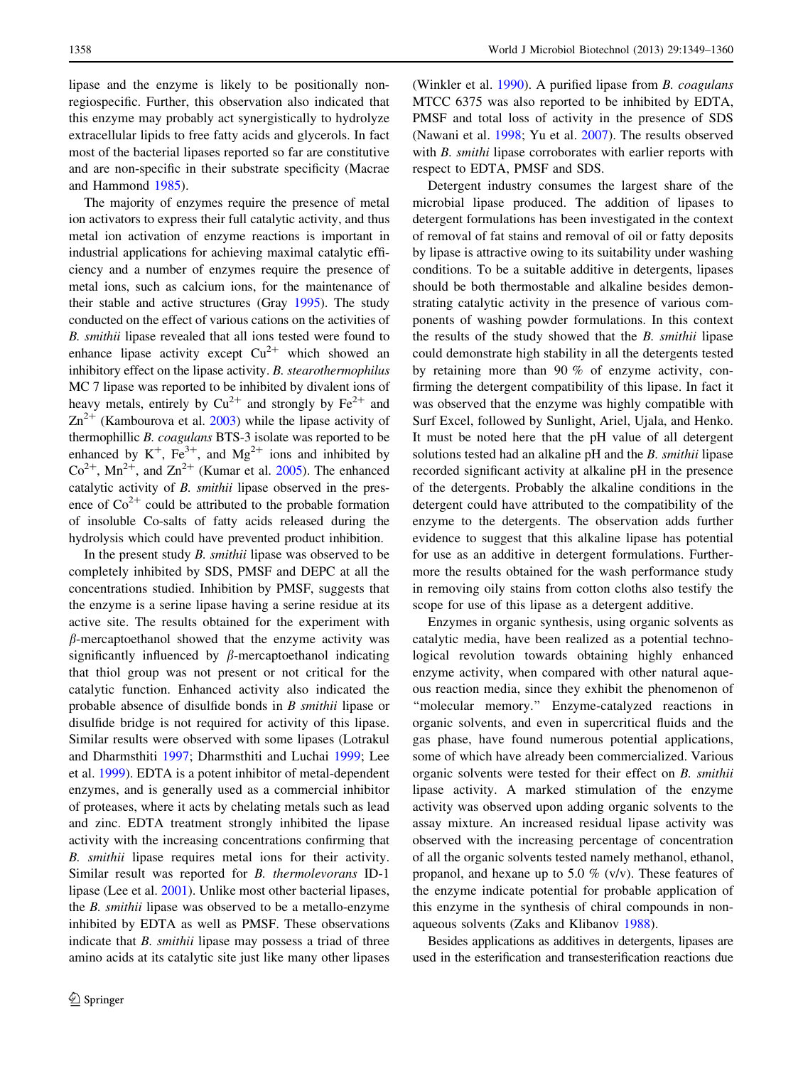lipase and the enzyme is likely to be positionally nonregiospecific. Further, this observation also indicated that this enzyme may probably act synergistically to hydrolyze extracellular lipids to free fatty acids and glycerols. In fact most of the bacterial lipases reported so far are constitutive and are non-specific in their substrate specificity (Macrae and Hammond [1985](#page-11-0)).

The majority of enzymes require the presence of metal ion activators to express their full catalytic activity, and thus metal ion activation of enzyme reactions is important in industrial applications for achieving maximal catalytic efficiency and a number of enzymes require the presence of metal ions, such as calcium ions, for the maintenance of their stable and active structures (Gray [1995\)](#page-10-0). The study conducted on the effect of various cations on the activities of B. smithii lipase revealed that all ions tested were found to enhance lipase activity except  $Cu^{2+}$  which showed an inhibitory effect on the lipase activity. B. stearothermophilus MC 7 lipase was reported to be inhibited by divalent ions of heavy metals, entirely by  $Cu^{2+}$  and strongly by  $Fe^{2+}$  and  $\text{Zn}^{2+}$  (Kambourova et al. [2003](#page-10-0)) while the lipase activity of thermophillic B. coagulans BTS-3 isolate was reported to be enhanced by  $K^+$ ,  $Fe^{3+}$ , and  $Mg^{2+}$  ions and inhibited by  $Co<sup>2+</sup>$ , Mn<sup>2+</sup>, and Zn<sup>2+</sup> (Kumar et al. [2005](#page-11-0)). The enhanced catalytic activity of B. smithii lipase observed in the presence of  $\text{Co}^{2+}$  could be attributed to the probable formation of insoluble Co-salts of fatty acids released during the hydrolysis which could have prevented product inhibition.

In the present study B. smithii lipase was observed to be completely inhibited by SDS, PMSF and DEPC at all the concentrations studied. Inhibition by PMSF, suggests that the enzyme is a serine lipase having a serine residue at its active site. The results obtained for the experiment with  $\beta$ -mercaptoethanol showed that the enzyme activity was significantly influenced by  $\beta$ -mercaptoethanol indicating that thiol group was not present or not critical for the catalytic function. Enhanced activity also indicated the probable absence of disulfide bonds in B smithii lipase or disulfide bridge is not required for activity of this lipase. Similar results were observed with some lipases (Lotrakul and Dharmsthiti [1997](#page-11-0); Dharmsthiti and Luchai [1999;](#page-10-0) Lee et al. [1999](#page-11-0)). EDTA is a potent inhibitor of metal-dependent enzymes, and is generally used as a commercial inhibitor of proteases, where it acts by chelating metals such as lead and zinc. EDTA treatment strongly inhibited the lipase activity with the increasing concentrations confirming that B. smithii lipase requires metal ions for their activity. Similar result was reported for B. thermolevorans ID-1 lipase (Lee et al. [2001\)](#page-11-0). Unlike most other bacterial lipases, the B. smithii lipase was observed to be a metallo-enzyme inhibited by EDTA as well as PMSF. These observations indicate that *B. smithii* lipase may possess a triad of three amino acids at its catalytic site just like many other lipases (Winkler et al. [1990\)](#page-11-0). A purified lipase from B. coagulans MTCC 6375 was also reported to be inhibited by EDTA, PMSF and total loss of activity in the presence of SDS (Nawani et al. [1998;](#page-11-0) Yu et al. [2007](#page-11-0)). The results observed with *B. smithi* lipase corroborates with earlier reports with respect to EDTA, PMSF and SDS.

Detergent industry consumes the largest share of the microbial lipase produced. The addition of lipases to detergent formulations has been investigated in the context of removal of fat stains and removal of oil or fatty deposits by lipase is attractive owing to its suitability under washing conditions. To be a suitable additive in detergents, lipases should be both thermostable and alkaline besides demonstrating catalytic activity in the presence of various components of washing powder formulations. In this context the results of the study showed that the B. smithii lipase could demonstrate high stability in all the detergents tested by retaining more than 90 % of enzyme activity, confirming the detergent compatibility of this lipase. In fact it was observed that the enzyme was highly compatible with Surf Excel, followed by Sunlight, Ariel, Ujala, and Henko. It must be noted here that the pH value of all detergent solutions tested had an alkaline pH and the B. *smithii* lipase recorded significant activity at alkaline pH in the presence of the detergents. Probably the alkaline conditions in the detergent could have attributed to the compatibility of the enzyme to the detergents. The observation adds further evidence to suggest that this alkaline lipase has potential for use as an additive in detergent formulations. Furthermore the results obtained for the wash performance study in removing oily stains from cotton cloths also testify the scope for use of this lipase as a detergent additive.

Enzymes in organic synthesis, using organic solvents as catalytic media, have been realized as a potential technological revolution towards obtaining highly enhanced enzyme activity, when compared with other natural aqueous reaction media, since they exhibit the phenomenon of "molecular memory." Enzyme-catalyzed reactions in organic solvents, and even in supercritical fluids and the gas phase, have found numerous potential applications, some of which have already been commercialized. Various organic solvents were tested for their effect on B. smithii lipase activity. A marked stimulation of the enzyme activity was observed upon adding organic solvents to the assay mixture. An increased residual lipase activity was observed with the increasing percentage of concentration of all the organic solvents tested namely methanol, ethanol, propanol, and hexane up to 5.0 % (v/v). These features of the enzyme indicate potential for probable application of this enzyme in the synthesis of chiral compounds in nonaqueous solvents (Zaks and Klibanov [1988\)](#page-11-0).

Besides applications as additives in detergents, lipases are used in the esterification and transesterification reactions due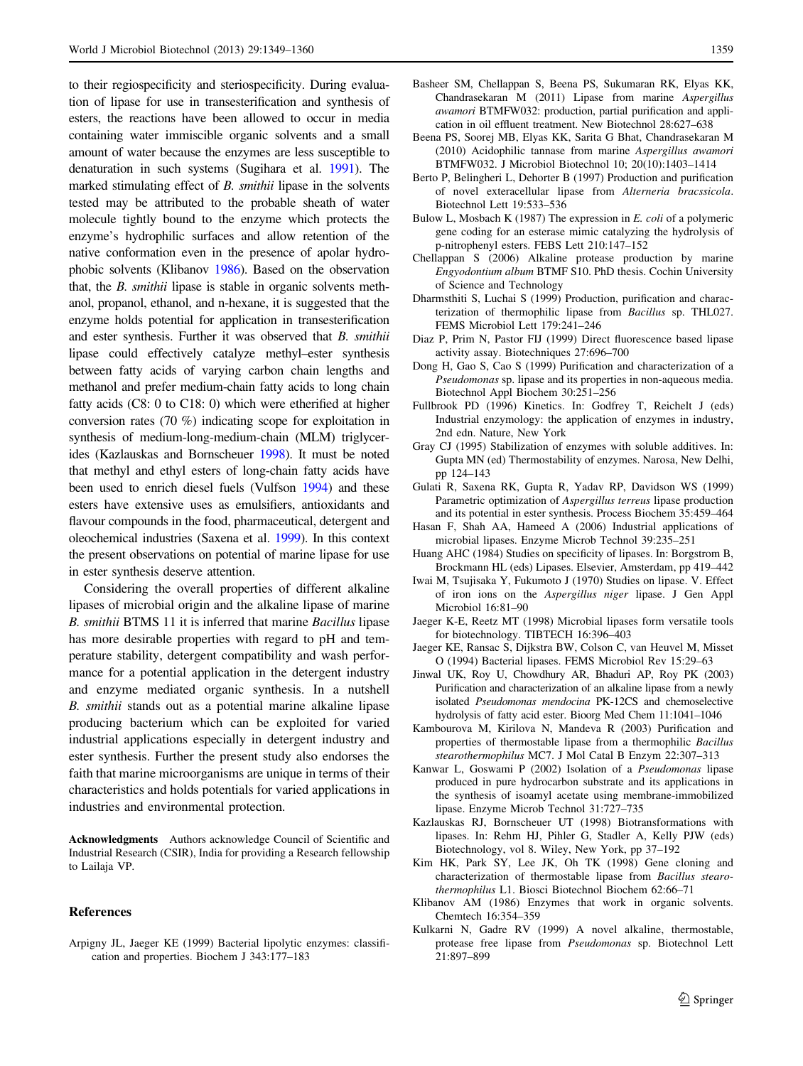<span id="page-10-0"></span>to their regiospecificity and steriospecificity. During evaluation of lipase for use in transesterification and synthesis of esters, the reactions have been allowed to occur in media containing water immiscible organic solvents and a small amount of water because the enzymes are less susceptible to denaturation in such systems (Sugihara et al. [1991](#page-11-0)). The marked stimulating effect of B. smithii lipase in the solvents tested may be attributed to the probable sheath of water molecule tightly bound to the enzyme which protects the enzyme's hydrophilic surfaces and allow retention of the native conformation even in the presence of apolar hydrophobic solvents (Klibanov 1986). Based on the observation that, the B. smithii lipase is stable in organic solvents methanol, propanol, ethanol, and n-hexane, it is suggested that the enzyme holds potential for application in transesterification and ester synthesis. Further it was observed that B. smithii lipase could effectively catalyze methyl–ester synthesis between fatty acids of varying carbon chain lengths and methanol and prefer medium-chain fatty acids to long chain fatty acids (C8: 0 to C18: 0) which were etherified at higher conversion rates (70 %) indicating scope for exploitation in synthesis of medium-long-medium-chain (MLM) triglycerides (Kazlauskas and Bornscheuer 1998). It must be noted that methyl and ethyl esters of long-chain fatty acids have been used to enrich diesel fuels (Vulfson [1994](#page-11-0)) and these esters have extensive uses as emulsifiers, antioxidants and flavour compounds in the food, pharmaceutical, detergent and oleochemical industries (Saxena et al. [1999](#page-11-0)). In this context the present observations on potential of marine lipase for use in ester synthesis deserve attention.

Considering the overall properties of different alkaline lipases of microbial origin and the alkaline lipase of marine B. smithii BTMS 11 it is inferred that marine Bacillus lipase has more desirable properties with regard to pH and temperature stability, detergent compatibility and wash performance for a potential application in the detergent industry and enzyme mediated organic synthesis. In a nutshell B. smithii stands out as a potential marine alkaline lipase producing bacterium which can be exploited for varied industrial applications especially in detergent industry and ester synthesis. Further the present study also endorses the faith that marine microorganisms are unique in terms of their characteristics and holds potentials for varied applications in industries and environmental protection.

Acknowledgments Authors acknowledge Council of Scientific and Industrial Research (CSIR), India for providing a Research fellowship to Lailaja VP.

#### References

Arpigny JL, Jaeger KE (1999) Bacterial lipolytic enzymes: classification and properties. Biochem J 343:177–183

- Basheer SM, Chellappan S, Beena PS, Sukumaran RK, Elyas KK, Chandrasekaran M (2011) Lipase from marine Aspergillus awamori BTMFW032: production, partial purification and application in oil effluent treatment. New Biotechnol 28:627–638
- Beena PS, Soorej MB, Elyas KK, Sarita G Bhat, Chandrasekaran M (2010) Acidophilic tannase from marine Aspergillus awamori BTMFW032. J Microbiol Biotechnol 10; 20(10):1403–1414
- Berto P, Belingheri L, Dehorter B (1997) Production and purification of novel exteracellular lipase from Alterneria bracssicola. Biotechnol Lett 19:533–536
- Bulow L, Mosbach K (1987) The expression in E. coli of a polymeric gene coding for an esterase mimic catalyzing the hydrolysis of p-nitrophenyl esters. FEBS Lett 210:147–152
- Chellappan S (2006) Alkaline protease production by marine Engyodontium album BTMF S10. PhD thesis. Cochin University of Science and Technology
- Dharmsthiti S, Luchai S (1999) Production, purification and characterization of thermophilic lipase from Bacillus sp. THL027. FEMS Microbiol Lett 179:241–246
- Diaz P, Prim N, Pastor FIJ (1999) Direct fluorescence based lipase activity assay. Biotechniques 27:696–700
- Dong H, Gao S, Cao S (1999) Purification and characterization of a Pseudomonas sp. lipase and its properties in non-aqueous media. Biotechnol Appl Biochem 30:251–256
- Fullbrook PD (1996) Kinetics. In: Godfrey T, Reichelt J (eds) Industrial enzymology: the application of enzymes in industry, 2nd edn. Nature, New York
- Gray CJ (1995) Stabilization of enzymes with soluble additives. In: Gupta MN (ed) Thermostability of enzymes. Narosa, New Delhi, pp 124–143
- Gulati R, Saxena RK, Gupta R, Yadav RP, Davidson WS (1999) Parametric optimization of Aspergillus terreus lipase production and its potential in ester synthesis. Process Biochem 35:459–464
- Hasan F, Shah AA, Hameed A (2006) Industrial applications of microbial lipases. Enzyme Microb Technol 39:235–251
- Huang AHC (1984) Studies on specificity of lipases. In: Borgstrom B, Brockmann HL (eds) Lipases. Elsevier, Amsterdam, pp 419–442
- Iwai M, Tsujisaka Y, Fukumoto J (1970) Studies on lipase. V. Effect of iron ions on the Aspergillus niger lipase. J Gen Appl Microbiol 16:81–90
- Jaeger K-E, Reetz MT (1998) Microbial lipases form versatile tools for biotechnology. TIBTECH 16:396–403
- Jaeger KE, Ransac S, Dijkstra BW, Colson C, van Heuvel M, Misset O (1994) Bacterial lipases. FEMS Microbiol Rev 15:29–63
- Jinwal UK, Roy U, Chowdhury AR, Bhaduri AP, Roy PK (2003) Purification and characterization of an alkaline lipase from a newly isolated Pseudomonas mendocina PK-12CS and chemoselective hydrolysis of fatty acid ester. Bioorg Med Chem 11:1041–1046
- Kambourova M, Kirilova N, Mandeva R (2003) Purification and properties of thermostable lipase from a thermophilic Bacillus stearothermophilus MC7. J Mol Catal B Enzym 22:307–313
- Kanwar L, Goswami P (2002) Isolation of a Pseudomonas lipase produced in pure hydrocarbon substrate and its applications in the synthesis of isoamyl acetate using membrane-immobilized lipase. Enzyme Microb Technol 31:727–735
- Kazlauskas RJ, Bornscheuer UT (1998) Biotransformations with lipases. In: Rehm HJ, Pihler G, Stadler A, Kelly PJW (eds) Biotechnology, vol 8. Wiley, New York, pp 37–192
- Kim HK, Park SY, Lee JK, Oh TK (1998) Gene cloning and characterization of thermostable lipase from Bacillus stearothermophilus L1. Biosci Biotechnol Biochem 62:66–71
- Klibanov AM (1986) Enzymes that work in organic solvents. Chemtech 16:354–359
- Kulkarni N, Gadre RV (1999) A novel alkaline, thermostable, protease free lipase from Pseudomonas sp. Biotechnol Lett 21:897–899